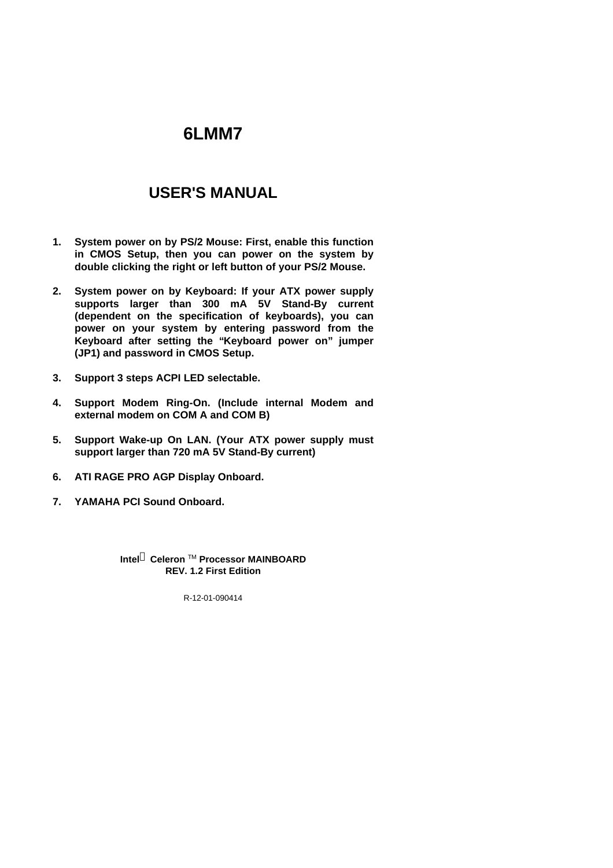# **6LMM7**

# **USER'S MANUAL**

- **1. System power on by PS/2 Mouse: First, enable this function in CMOS Setup, then you can power on the system by double clicking the right or left button of your PS/2 Mouse.**
- **2. System power on by Keyboard: If your ATX power supply supports larger than 300 mA 5V Stand-By current (dependent on the specification of keyboards), you can power on your system by entering password from the Keyboard after setting the "Keyboard power on" jumper (JP1) and password in CMOS Setup.**
- **3. Support 3 steps ACPI LED selectable.**
- **4. Support Modem Ring-On. (Include internal Modem and external modem on COM A and COM B)**
- **5. Support Wake-up On LAN. (Your ATX power supply must support larger than 720 mA 5V Stand-By current)**
- **6. ATI RAGE PRO AGP Display Onboard.**
- **7. YAMAHA PCI Sound Onboard.**

**Intelâ Celeron** TM **Processor MAINBOARD REV. 1.2 First Edition**

R-12-01-090414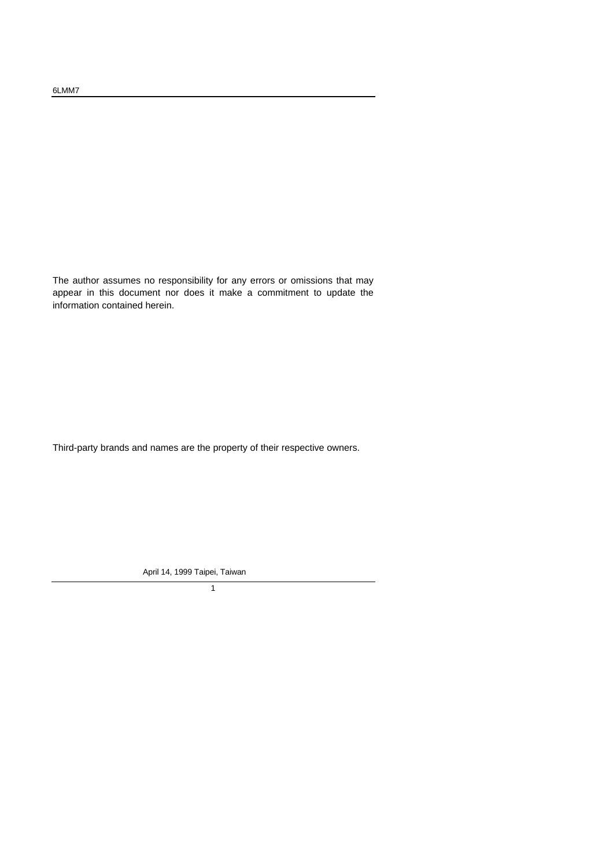The author assumes no responsibility for any errors or omissions that may appear in this document nor does it make a commitment to update the information contained herein.

Third-party brands and names are the property of their respective owners.

April 14, 1999 Taipei, Taiwan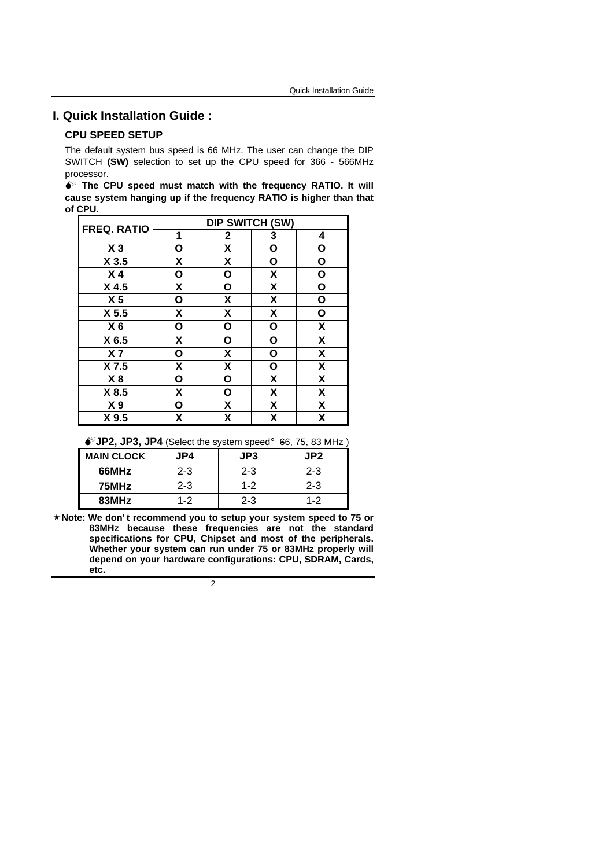# **I. Quick Installation Guide :**

# **CPU SPEED SETUP**

The default system bus speed is 66 MHz. The user can change the DIP SWITCH **(SW)** selection to set up the CPU speed for 366 - 566MHz processor.

|         |  |  |  | The CPU speed must match with the frequency RATIO. It will         |  |  |
|---------|--|--|--|--------------------------------------------------------------------|--|--|
|         |  |  |  | cause system hanging up if the frequency RATIO is higher than that |  |  |
| of CPU. |  |  |  |                                                                    |  |  |

| <b>FREQ. RATIO</b> | <b>DIP SWITCH (SW)</b>    |                           |                    |                           |  |  |
|--------------------|---------------------------|---------------------------|--------------------|---------------------------|--|--|
|                    | 1                         | 2                         | 3                  | 4                         |  |  |
| $X_3$              | Ο                         | X                         | Ο                  | О                         |  |  |
| X <sub>3.5</sub>   | X                         | $\pmb{\mathsf{X}}$        | О                  | $\mathbf{o}$              |  |  |
| X <sub>4</sub>     | Ο                         | O                         | $\pmb{\mathsf{X}}$ | O                         |  |  |
| $X$ 4.5            | χ                         | O                         | $\pmb{\mathsf{X}}$ | O                         |  |  |
| X <sub>5</sub>     | О                         | $\pmb{\mathsf{X}}$        | $\pmb{\mathsf{X}}$ | O                         |  |  |
| X <sub>5.5</sub>   | $\boldsymbol{\mathsf{X}}$ | $\pmb{\mathsf{X}}$        | $\pmb{\mathsf{X}}$ | $\mathbf{o}$              |  |  |
| X <sub>6</sub>     | О                         | O                         | О                  | X                         |  |  |
| X 6.5              | X                         | O                         | $\mathbf{o}$       | $\pmb{\mathsf{X}}$        |  |  |
| X <sub>7</sub>     | Ο                         | $\boldsymbol{\mathsf{X}}$ | O                  | $\boldsymbol{\mathsf{X}}$ |  |  |
| X 7.5              | $\pmb{\mathsf{X}}$        | X                         | О                  | χ                         |  |  |
| X8                 | О                         | O                         | X                  | $\pmb{\mathsf{X}}$        |  |  |
| X 8.5              | X                         | $\mathbf{o}$              | $\pmb{\mathsf{X}}$ | $\boldsymbol{\mathsf{X}}$ |  |  |
| X <sub>9</sub>     | О                         | X                         | χ                  | χ                         |  |  |
| X 9.5              | χ                         | X                         | χ                  | X                         |  |  |

 $\bullet$ <sup>*''*</sup> JP2, JP3, JP4 (Select the system speed; 66, 75, 83 MHz)

| <b>MAIN CLOCK</b> | JP4     | JP3     | JP2     |  |
|-------------------|---------|---------|---------|--|
| 66MHz             | $2 - 3$ | $2 - 3$ | $2 - 3$ |  |
| 75MHz             | $2 - 3$ | $1 - 2$ | $2 - 3$ |  |
| 83MHz             | 1-2     | $2 - 3$ | $1 - 2$ |  |

**´Note: We don' t recommend you to setup your system speed to 75 or 83MHz because these frequencies are not the standard specifications for CPU, Chipset and most of the peripherals. Whether your system can run under 75 or 83MHz properly will depend on your hardware configurations: CPU, SDRAM, Cards, etc.**

 $\overline{2}$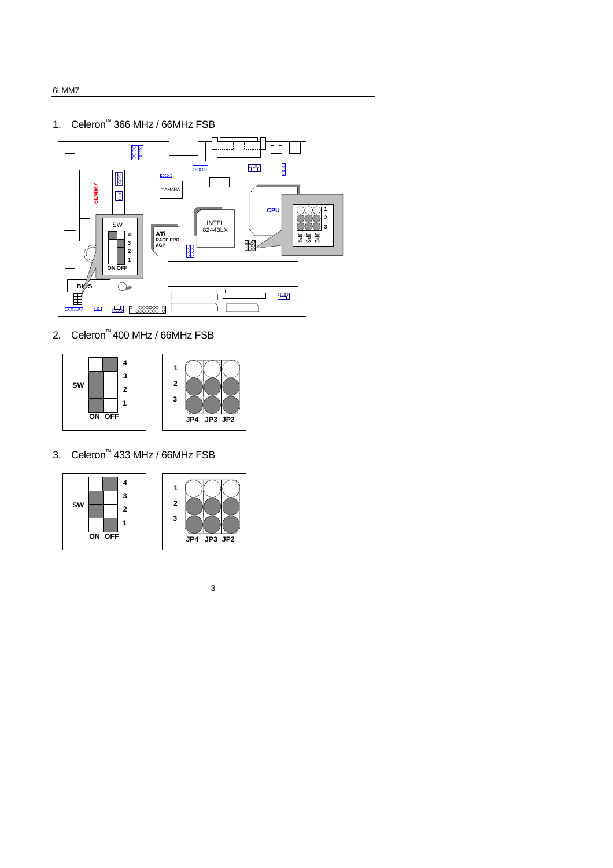1. Celeron<sup>™</sup> 366 MHz / 66MHz FSB



2. Celeron<sup> $M$ </sup> 400 MHz / 66MHz FSB



3. Celeron<sup>™</sup> 433 MHz / 66MHz FSB



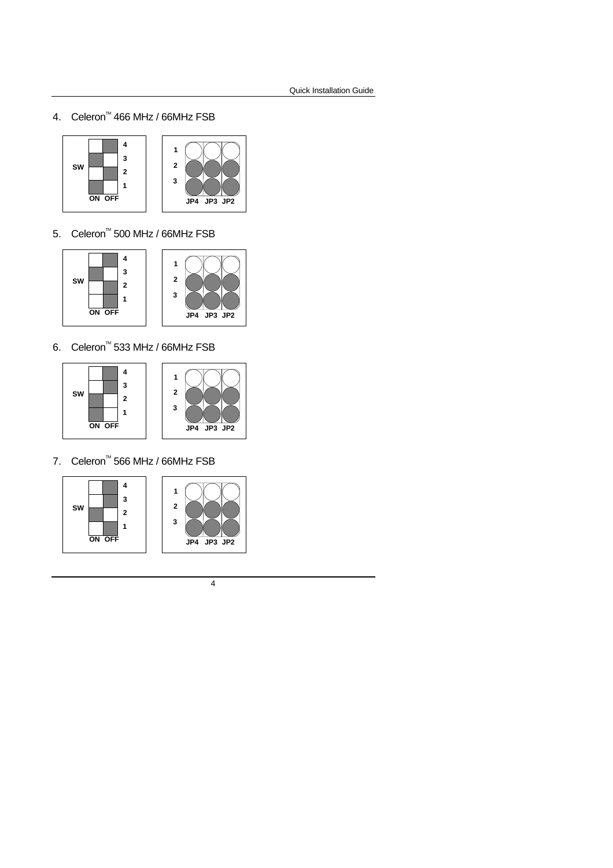4. Celeron<sup>™</sup> 466 MHz / 66MHz FSB



5. Celeron<sup> $M$ </sup> 500 MHz / 66MHz FSB



6. Celeron<sup>™</sup> 533 MHz / 66MHz FSB



7. Celeron<sup>™</sup> 566 MHz / 66MHz FSB



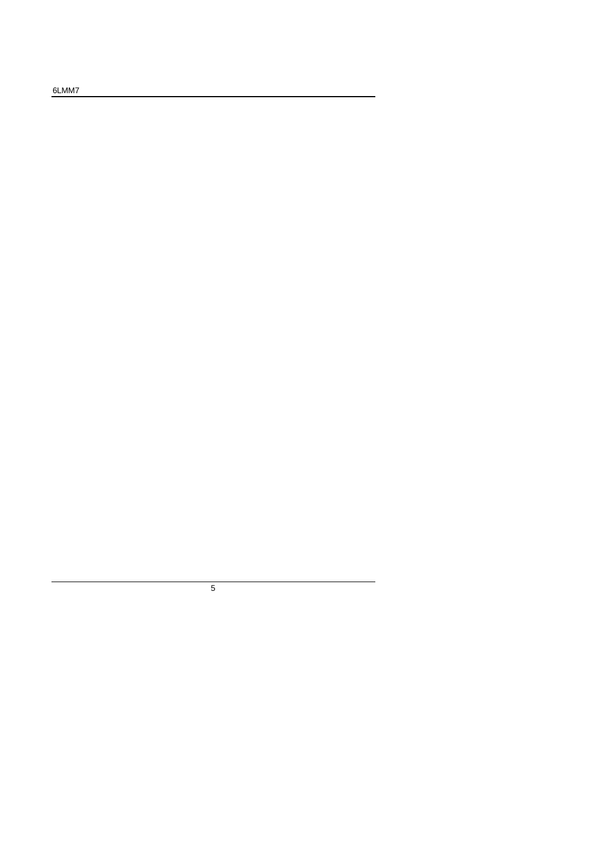6LMM7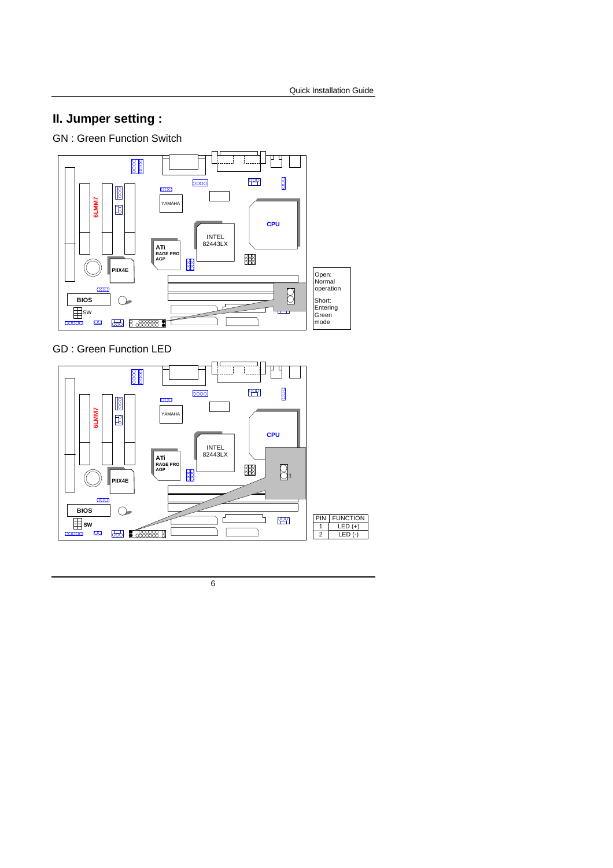# **II. Jumper setting :**

GN : Green Function Switch



### GD : Green Function LED

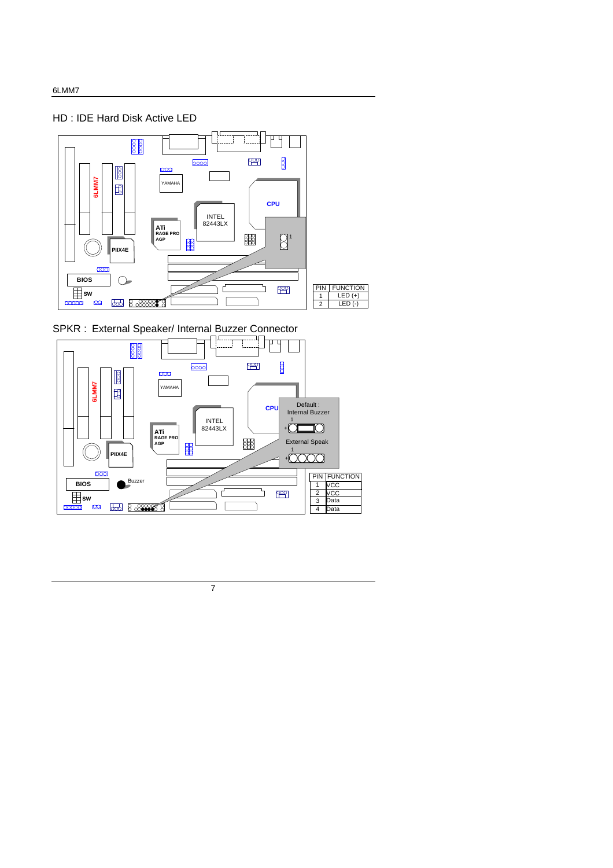HD : IDE Hard Disk Active LED





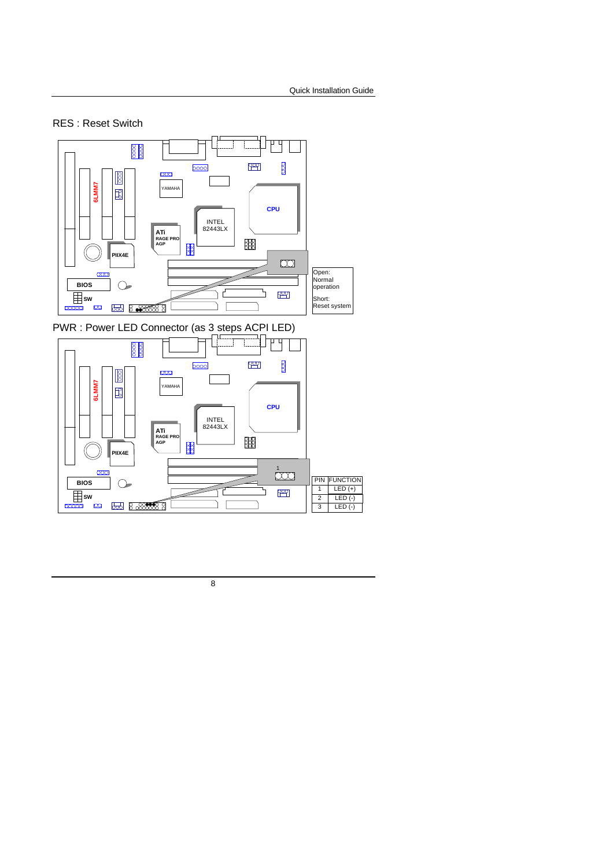

**BIOS**

 $\overline{\text{cov}}$ 

**SW**

**PIIX4E**

 $\circ$ 

**bob** 8 28888 8



88

≤



╱

า

 $\sqrt{ }$ 

 $\frac{1}{2}$ 

 $P^{\alpha}$ Ч

PIN FUNCTION 1 LED (+) 2 LED (-) 3 LED (-)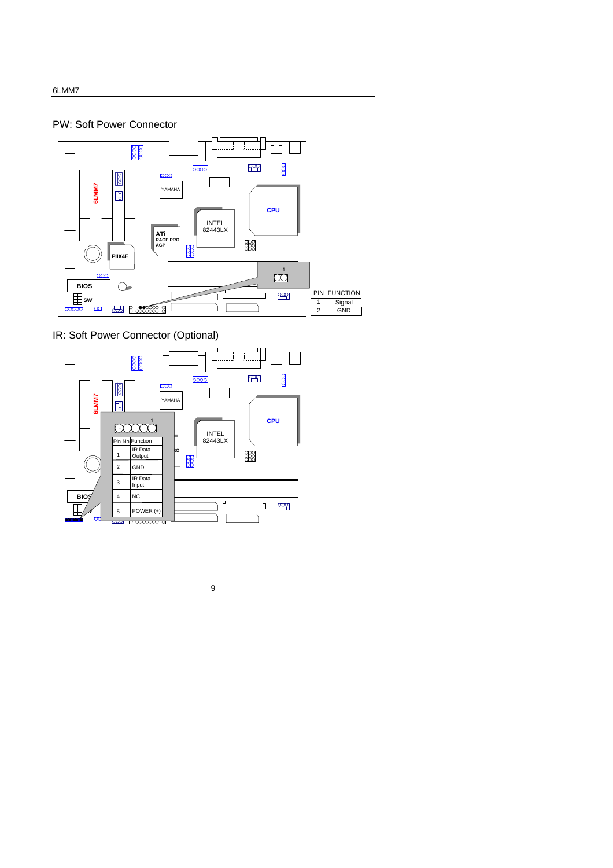PW: Soft Power Connector



# IR: Soft Power Connector (Optional)

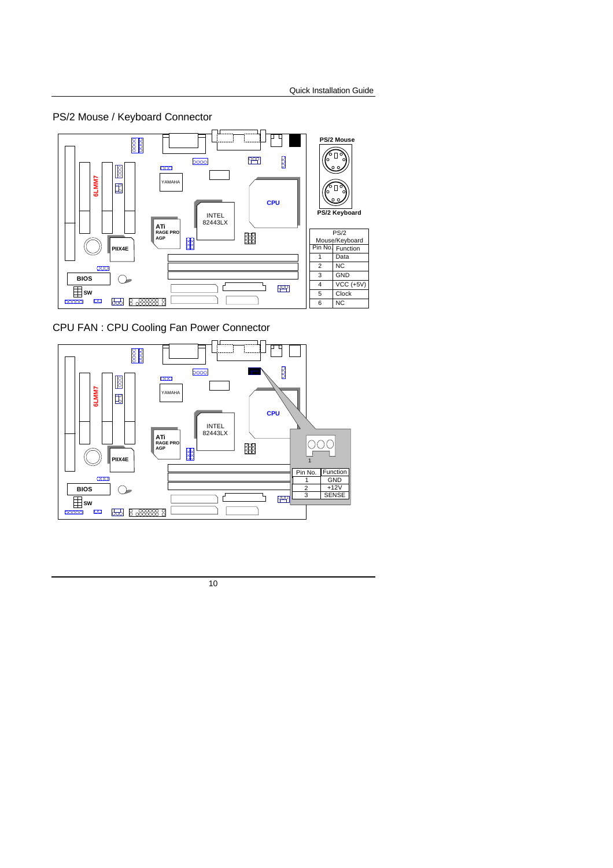PS/2 Mouse / Keyboard Connector



CPU FAN : CPU Cooling Fan Power Connector

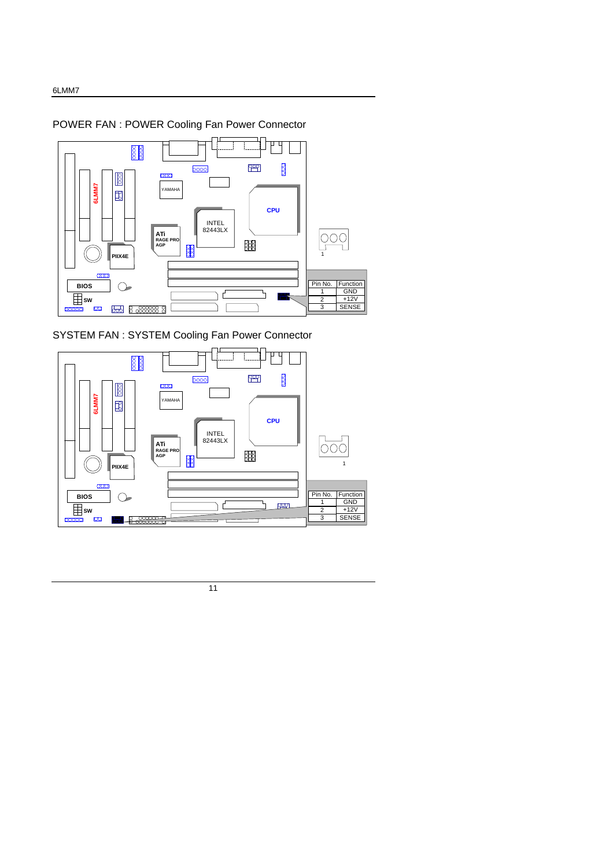POWER FAN : POWER Cooling Fan Power Connector



SYSTEM FAN : SYSTEM Cooling Fan Power Connector

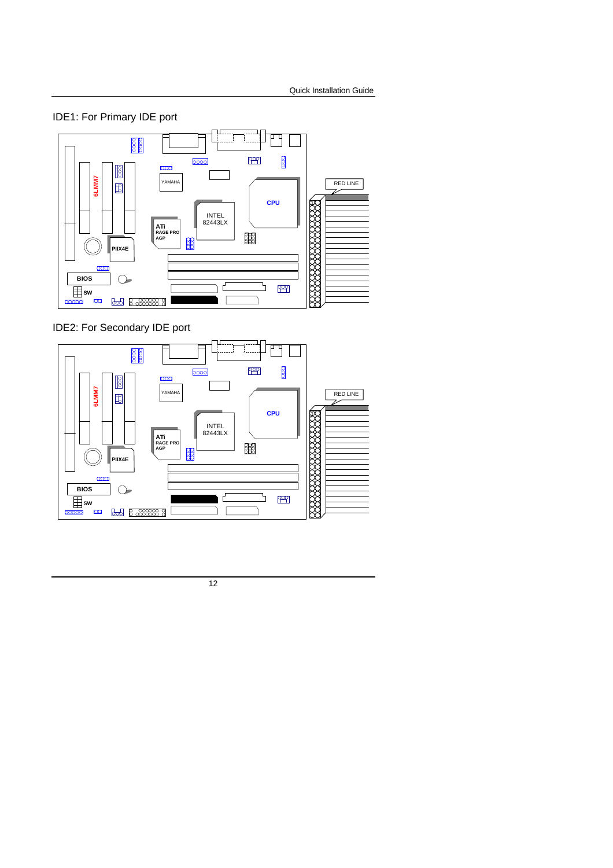

IDE1: For Primary IDE port



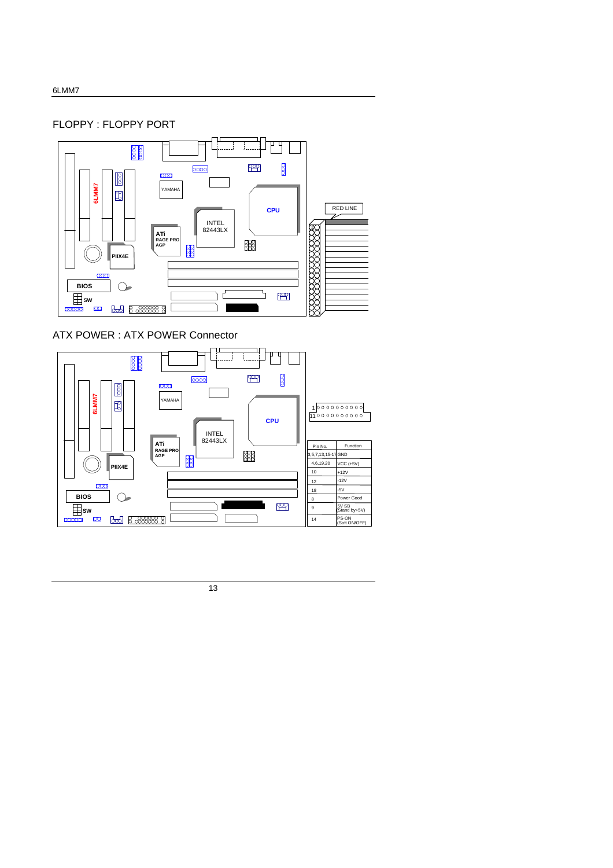#### FLOPPY : FLOPPY PORT



# ATX POWER : ATX POWER Connector

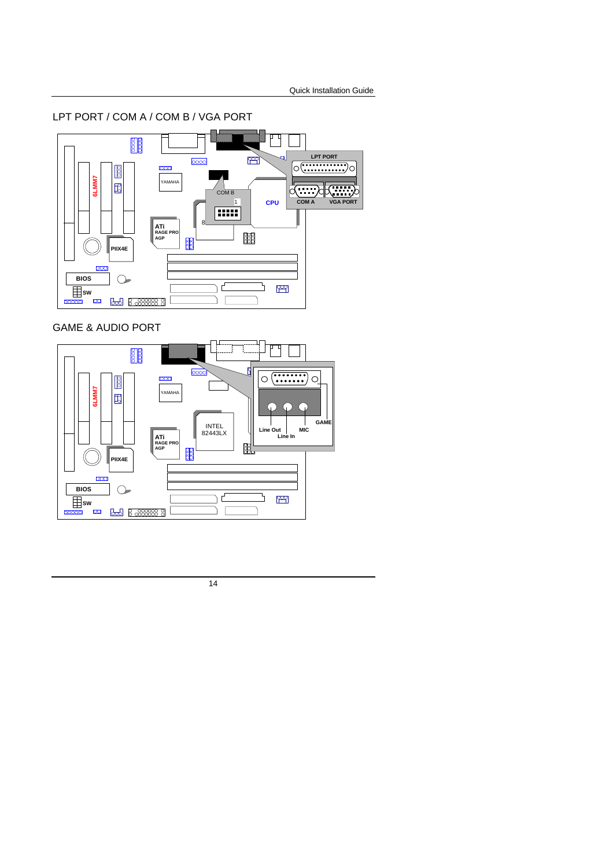LPT PORT / COM A / COM B / VGA PORT



#### GAME & AUDIO PORT

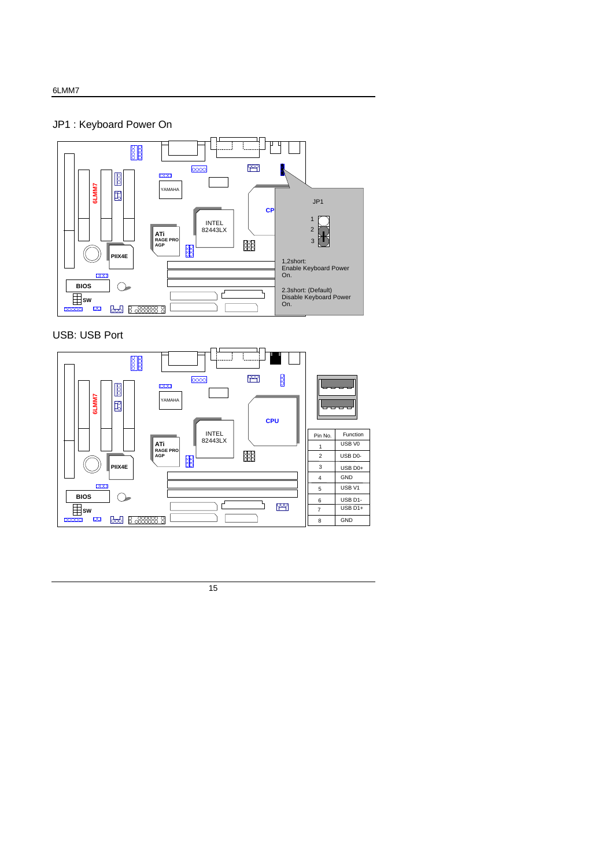# JP1 : Keyboard Power On



#### USB: USB Port

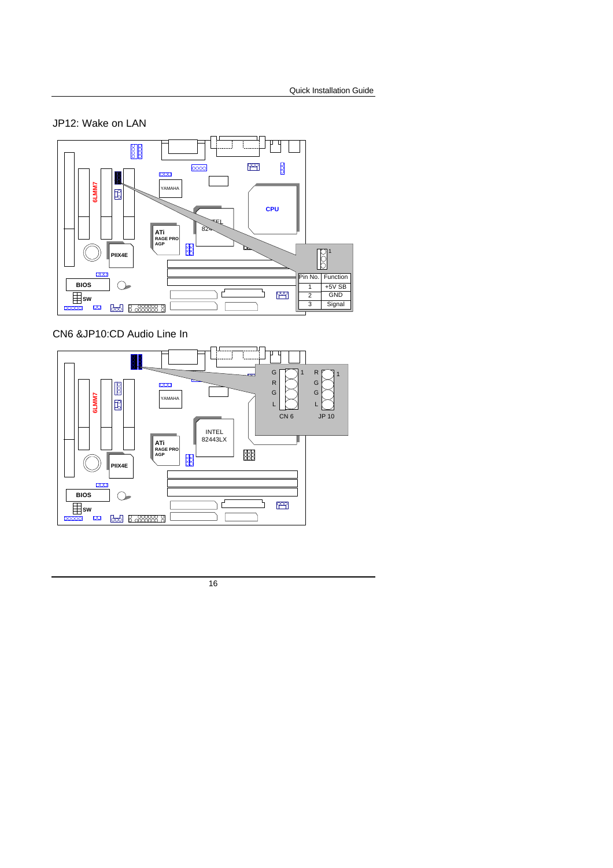



#### CN6 &JP10:CD Audio Line In

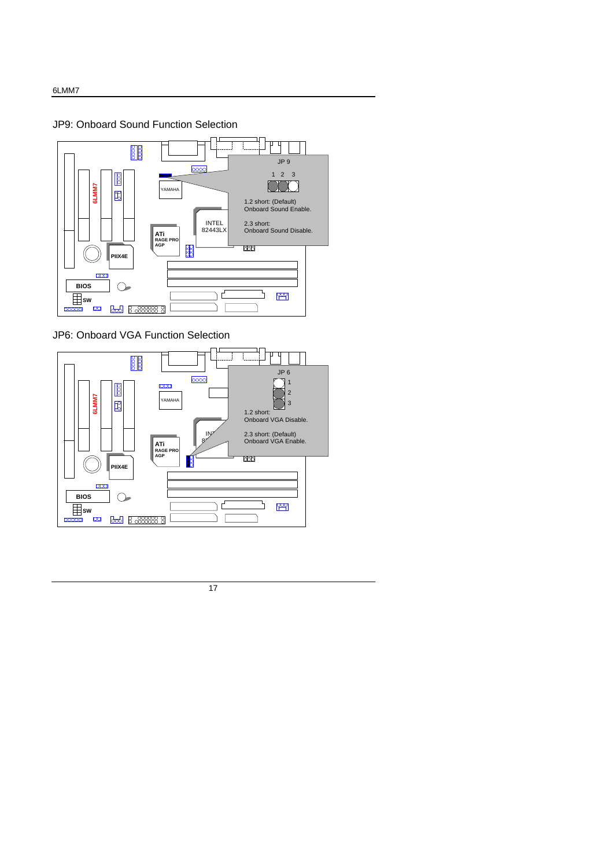JP9: Onboard Sound Function Selection



JP6: Onboard VGA Function Selection

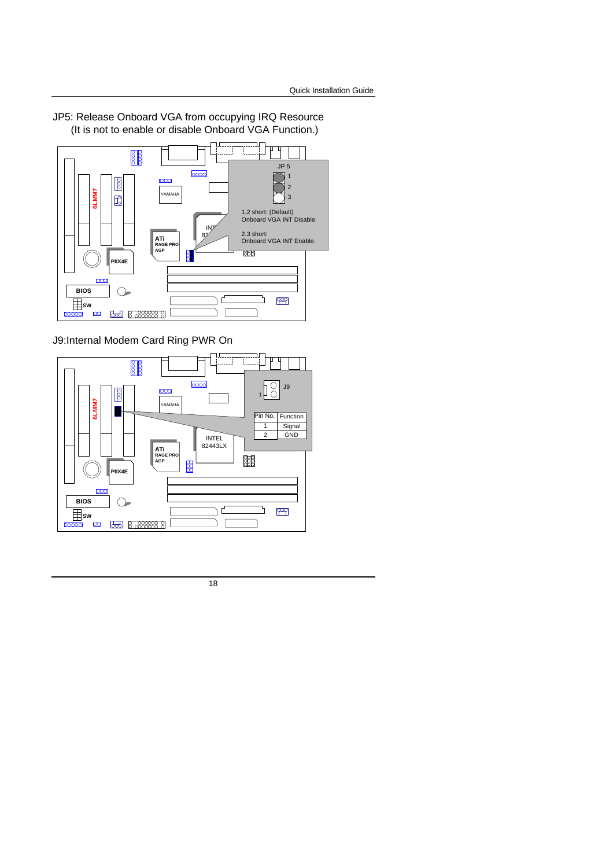JP5: Release Onboard VGA from occupying IRQ Resource (It is not to enable or disable Onboard VGA Function.)



J9:Internal Modem Card Ring PWR On

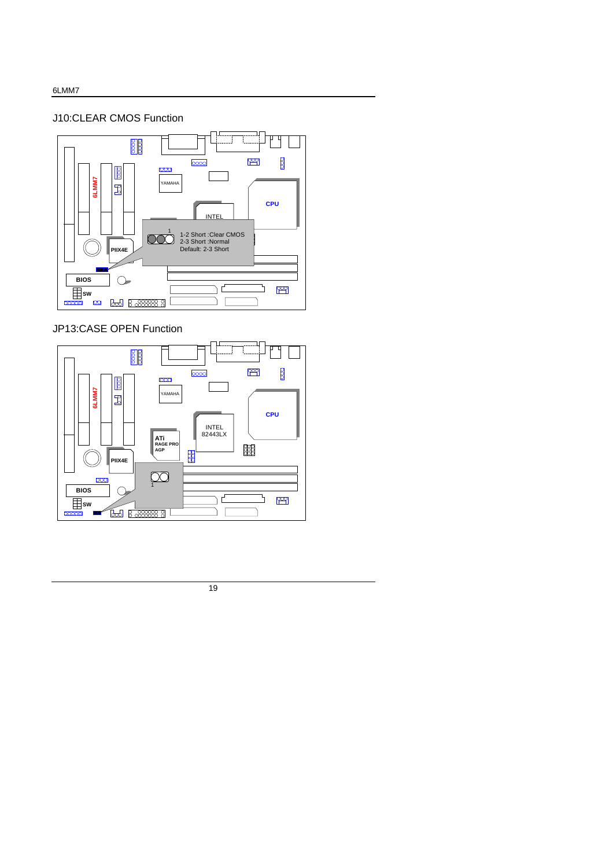#### J10:CLEAR CMOS Function



#### JP13:CASE OPEN Function

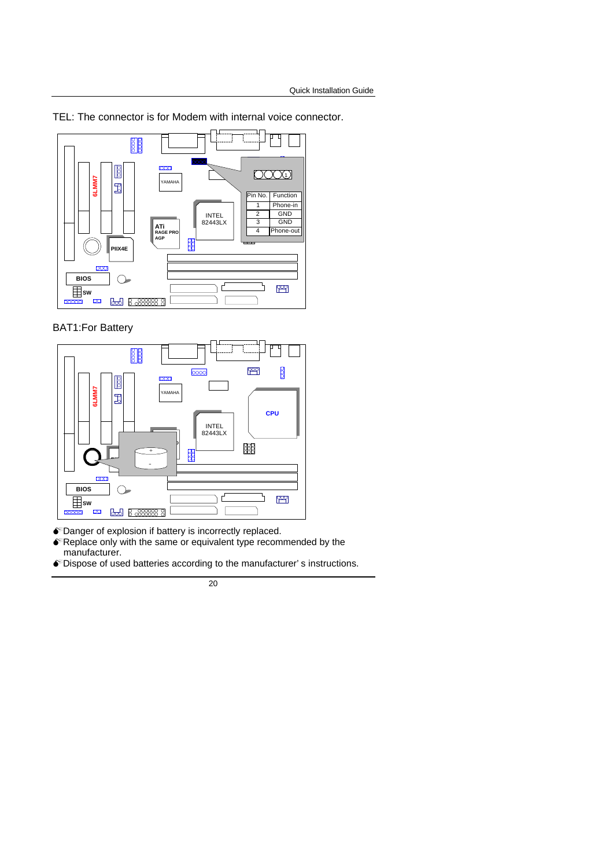TEL: The connector is for Modem with internal voice connector.



BAT1:For Battery



 $\bullet$ <sup>®</sup>Danger of explosion if battery is incorrectly replaced.

- $\bullet$  Replace only with the same or equivalent type recommended by the manufacturer.
- MDispose of used batteries according to the manufacturer' s instructions.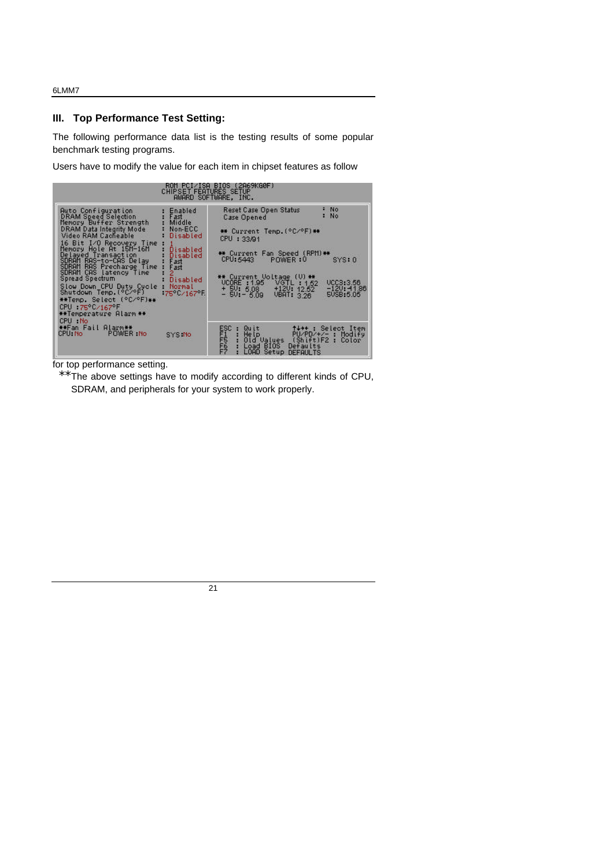6LMM7

#### **III. Top Performance Test Setting:**

The following performance data list is the testing results of some popular benchmark testing programs.

Users have to modify the value for each item in chipset features as follow



for top performance setting.

\*\*The above settings have to modify according to different kinds of CPU, SDRAM, and peripherals for your system to work properly.